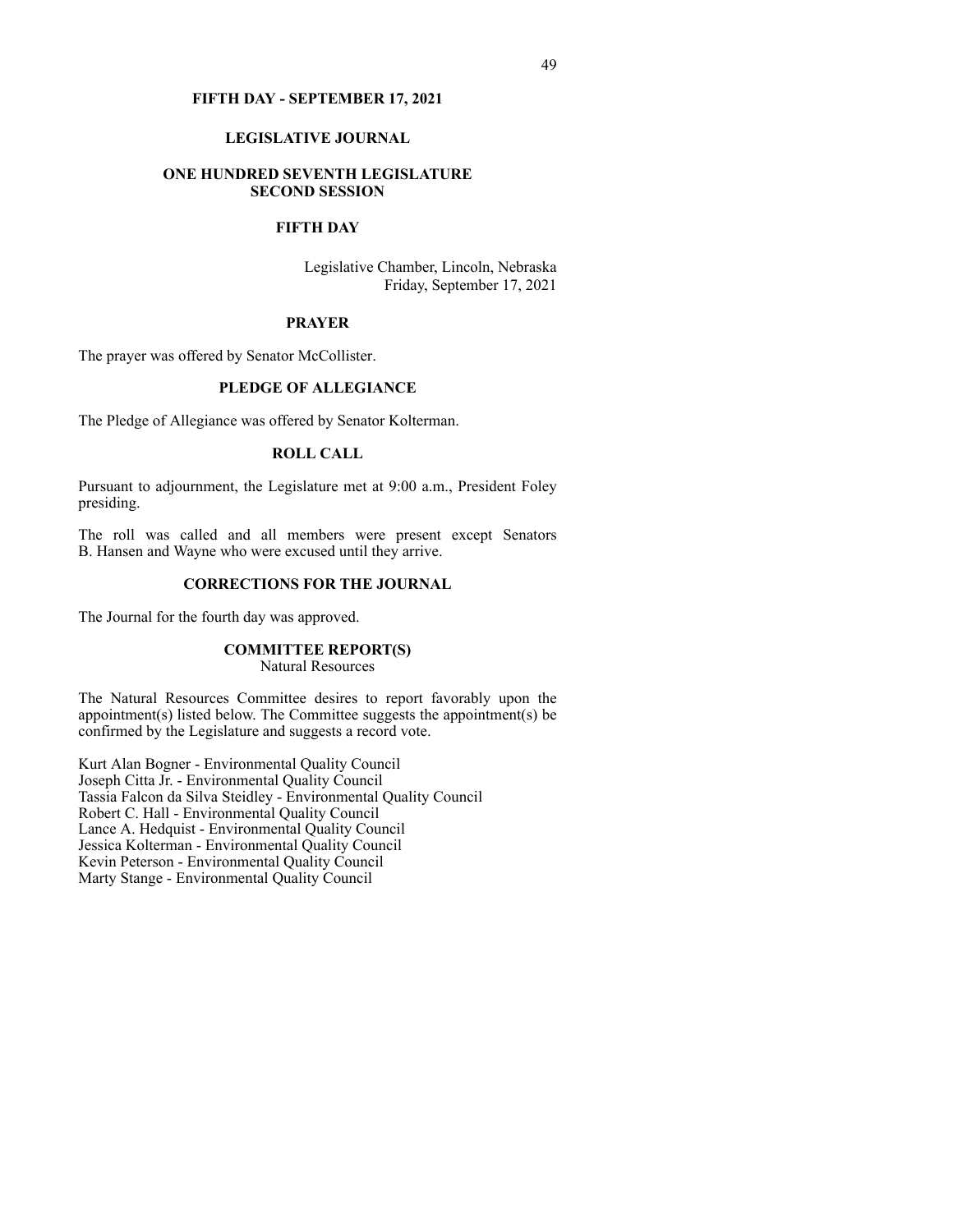### **FIFTH DAY - SEPTEMBER 17, 2021**

### **LEGISLATIVE JOURNAL**

### **ONE HUNDRED SEVENTH LEGISLATURE SECOND SESSION**

# **FIFTH DAY**

Legislative Chamber, Lincoln, Nebraska Friday, September 17, 2021

### **PRAYER**

The prayer was offered by Senator McCollister.

## **PLEDGE OF ALLEGIANCE**

The Pledge of Allegiance was offered by Senator Kolterman.

## **ROLL CALL**

Pursuant to adjournment, the Legislature met at 9:00 a.m., President Foley presiding.

The roll was called and all members were present except Senators B. Hansen and Wayne who were excused until they arrive.

### **CORRECTIONS FOR THE JOURNAL**

The Journal for the fourth day was approved.

### **COMMITTEE REPORT(S)**

Natural Resources

The Natural Resources Committee desires to report favorably upon the appointment(s) listed below. The Committee suggests the appointment(s) be confirmed by the Legislature and suggests a record vote.

Kurt Alan Bogner - Environmental Quality Council Joseph Citta Jr. - Environmental Quality Council Tassia Falcon da Silva Steidley - Environmental Quality Council Robert C. Hall - Environmental Quality Council Lance A. Hedquist - Environmental Quality Council Jessica Kolterman - Environmental Quality Council Kevin Peterson - Environmental Quality Council Marty Stange - Environmental Quality Council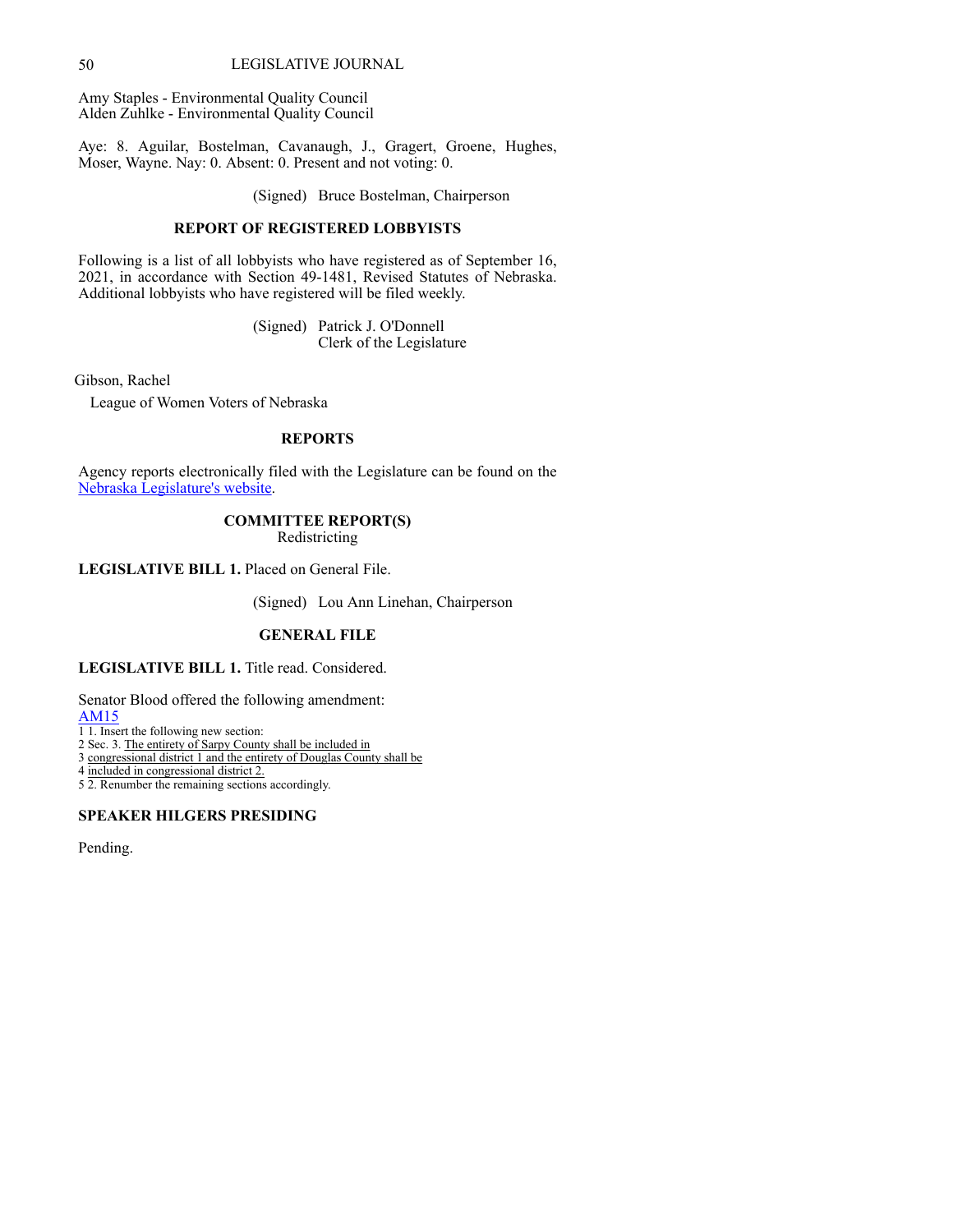### 50 LEGISLATIVE JOURNAL

Amy Staples - Environmental Quality Council Alden Zuhlke - Environmental Quality Council

Aye: 8. Aguilar, Bostelman, Cavanaugh, J., Gragert, Groene, Hughes, Moser, Wayne. Nay: 0. Absent: 0. Present and not voting: 0.

(Signed) Bruce Bostelman, Chairperson

## **REPORT OF REGISTERED LOBBYISTS**

Following is a list of all lobbyists who have registered as of September 16, 2021, in accordance with Section 49-1481, Revised Statutes of Nebraska. Additional lobbyists who have registered will be filed weekly.

> (Signed) Patrick J. O'Donnell Clerk of the Legislature

Gibson, Rachel

League of Women Voters of Nebraska

# **REPORTS**

Agency reports electr[on](http://www.nebraskalegislature.gov/agencies/view.php)ically filed with the Legislature can be found on the [Nebraska](http://www.nebraskalegislature.gov/agencies/view.php) [Legislature's](http://www.nebraskalegislature.gov/agencies/view.php) [website.](http://www.nebraskalegislature.gov/agencies/view.php)

# **COMMITTEE REPORT(S)**

Redistricting

**LEGISLATIVE BILL 1.** Placed on General File.

(Signed) Lou Ann Linehan, Chairperson

# **GENERAL FILE**

# **LEGISLATIVE BILL 1.** Title read. Considered.

Senator Blood offered the following amendment:

[AM15](https://www.nebraskalegislature.gov/FloorDocs/107/PDF/AM/AM15.pdf)

1 1. Insert the following new section:

2 Sec. 3. The entirety of Sarpy County shall be included in

3 congressional district 1 and the entirety of Douglas County shall be

4 included in congressional district 2.

5 2. Renumber the remaining sections accordingly.

# **SPEAKER HILGERS PRESIDING**

Pending.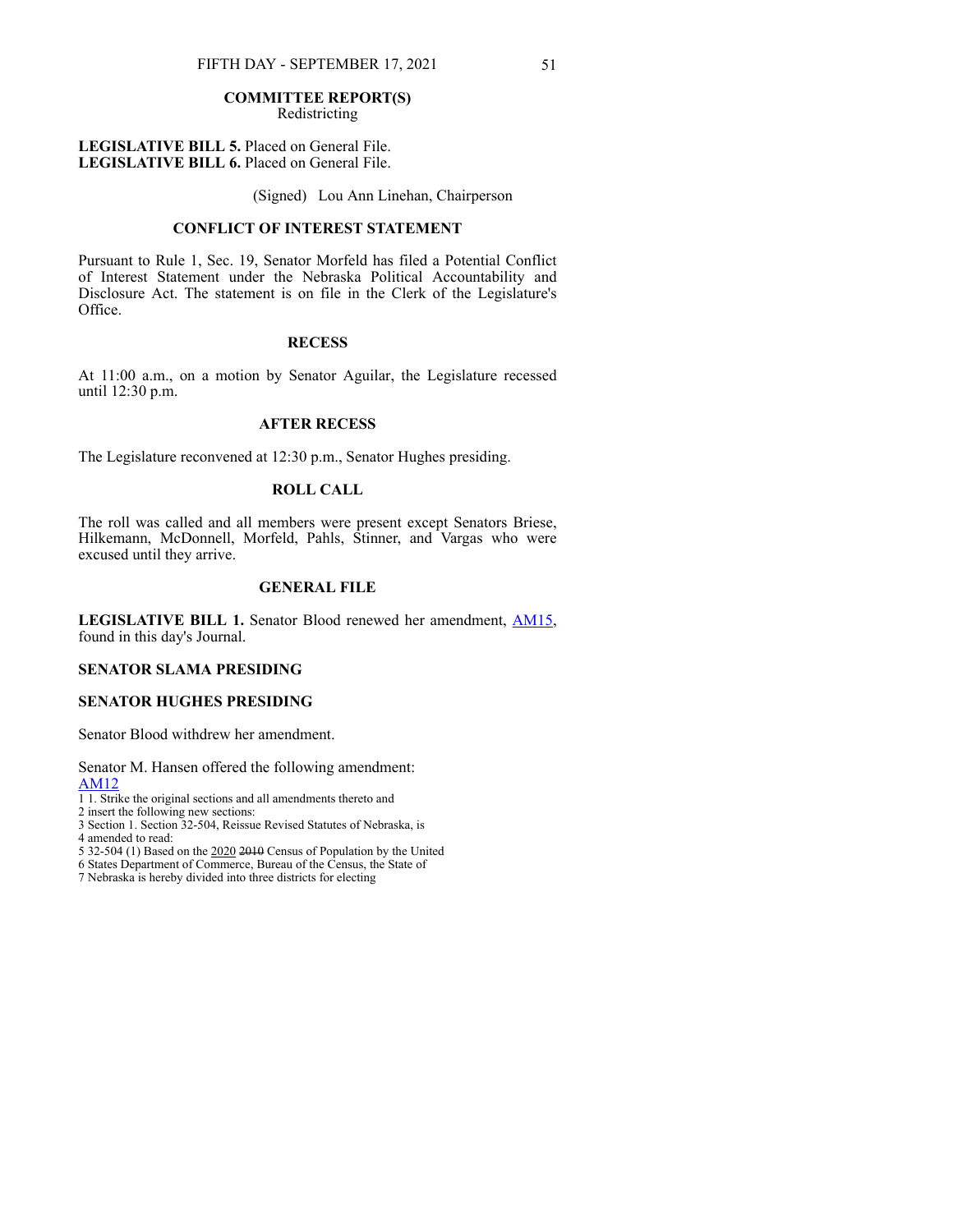Redistricting

**LEGISLATIVE BILL 5.** Placed on General File. **LEGISLATIVE BILL 6.** Placed on General File.

(Signed) Lou Ann Linehan, Chairperson

### **CONFLICT OF INTEREST STATEMENT**

Pursuant to Rule 1, Sec. 19, Senator Morfeld has filed a Potential Conflict of Interest Statement under the Nebraska Political Accountability and Disclosure Act. The statement is on file in the Clerk of the Legislature's Office.

# **RECESS**

At 11:00 a.m., on a motion by Senator Aguilar, the Legislature recessed until 12:30 p.m.

# **AFTER RECESS**

The Legislature reconvened at 12:30 p.m., Senator Hughes presiding.

# **ROLL CALL**

The roll was called and all members were present except Senators Briese, Hilkemann, McDonnell, Morfeld, Pahls, Stinner, and Vargas who were excused until they arrive.

### **GENERAL FILE**

**LEGISLATIVE BILL 1.** Senator Blood renewed her amendment, [AM15](https://www.nebraskalegislature.gov/FloorDocs/107/PDF/AM/AM15.pdf), found in this day's Journal.

# **SENATOR SLAMA PRESIDING**

# **SENATOR HUGHES PRESIDING**

Senator Blood withdrew her amendment.

Senator M. Hansen offered the following amendment: [AM12](https://www.nebraskalegislature.gov/FloorDocs/107/PDF/AM/AM12.pdf)

- 1 1. Strike the original sections and all amendments thereto and
- 2 insert the following new sections:
- 3 Section 1. Section 32-504, Reissue Revised Statutes of Nebraska, is
- 4 amended to read:
- 5 32-504 (1) Based on the 2020 2010 Census of Population by the United
- 6 States Department of Commerce, Bureau of the Census, the State of
- 7 Nebraska is hereby divided into three districts for electing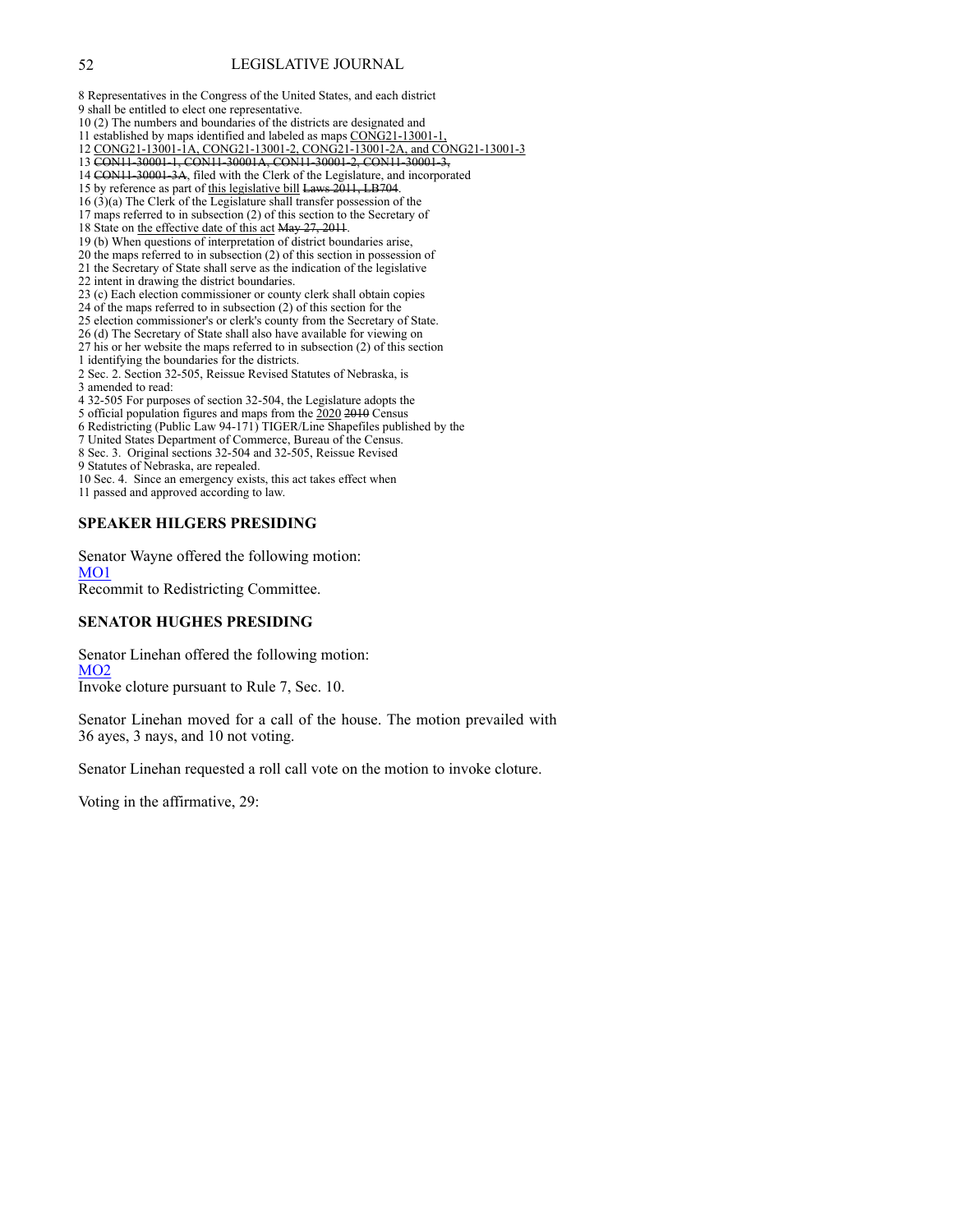### 52 LEGISLATIVE JOURNAL

8 Representatives in the Congress of the United States, and each district 9 shall be entitled to elect one representative.

- 10 (2) The numbers and boundaries of the districts are designated and
- 11 established by maps identified and labeled as maps CONG21-13001-1,
- 12 CONG21-13001-1A, CONG21-13001-2, CONG21-13001-2A, and CONG21-13001-3
- 13 CON11-30001-1, CON11-30001A, CON11-30001-2, CON11-30001-3,
- 14 CON11-30001-3A, filed with the Clerk of the Legislature, and incorporated
- 15 by reference as part of this legislative bill Laws 2011, LB704.
- 16 (3)(a) The Clerk of the Legislature shall transfer possession of the
- 17 maps referred to in subsection (2) of this section to the Secretary of
- 18 State on the effective date of this act May 27, 2011.
- 19 (b) When questions of interpretation of district boundaries arise,
- 20 the maps referred to in subsection (2) of this section in possession of
- 21 the Secretary of State shall serve as the indication of the legislative
- 22 intent in drawing the district boundaries.
- 23 (c) Each election commissioner or county clerk shall obtain copies
- 24 of the maps referred to in subsection (2) of this section for the
- 25 election commissioner's or clerk's county from the Secretary of State.
- 26 (d) The Secretary of State shall also have available for viewing on
- 27 his or her website the maps referred to in subsection (2) of this section
- 1 identifying the boundaries for the districts.
- 2 Sec. 2. Section 32-505, Reissue Revised Statutes of Nebraska, is 3 amended to read:
- 
- 4 32-505 For purposes of section 32-504, the Legislature adopts the 5 official population figures and maps from the 2020 2010 Census
- 6 Redistricting (Public Law 94-171) TIGER/Line Shapefiles published by the
- 7 United States Department of Commerce, Bureau of the Census.
- 8 Sec. 3. Original sections 32-504 and 32-505, Reissue Revised
- 9 Statutes of Nebraska, are repealed.
- 10 Sec. 4. Since an emergency exists, this act takes effect when
- 11 passed and approved according to law.

# **SPEAKER HILGERS PRESIDING**

Senator Wayne offered the following motion: [MO1](https://www.nebraskalegislature.gov/FloorDocs/107/PDF/AM/MO1.pdf) Recommit to Redistricting Committee.

# **SENATOR HUGHES PRESIDING**

Senator Linehan offered the following motion: [MO2](https://www.nebraskalegislature.gov/FloorDocs/107/PDF/AM/MO2.pdf) Invoke cloture pursuant to Rule 7, Sec. 10.

Senator Linehan moved for a call of the house. The motion prevailed with 36 ayes, 3 nays, and 10 not voting.

Senator Linehan requested a roll call vote on the motion to invoke cloture.

Voting in the affirmative, 29: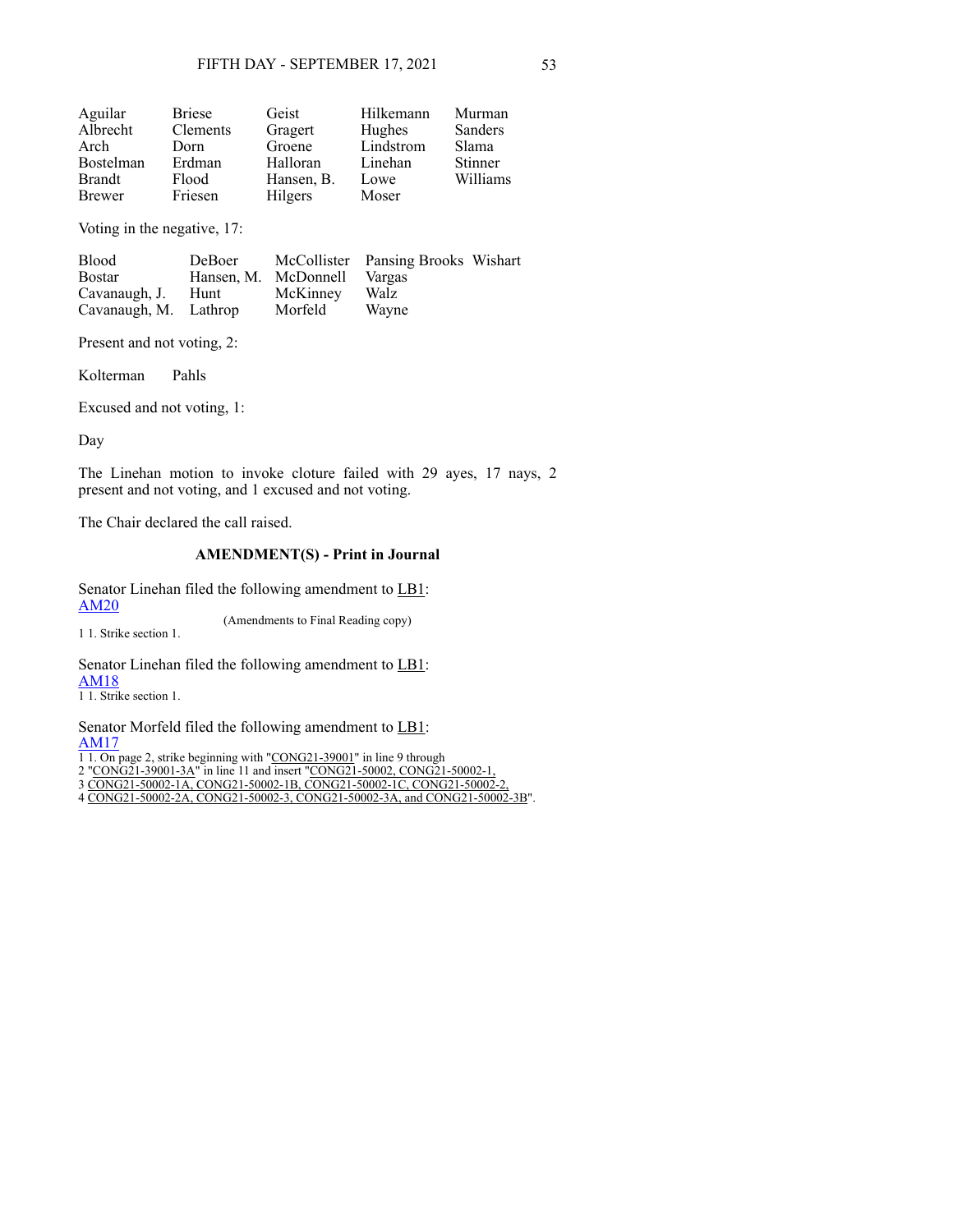| Aguilar       | <b>Briese</b> | Geist      | Hilkemann | Murman   |
|---------------|---------------|------------|-----------|----------|
| Albrecht      | Clements      | Gragert    | Hughes    | Sanders  |
| Arch          | Dorn          | Groene     | Lindstrom | Slama    |
| Bostelman     | Erdman        | Halloran   | Linehan   | Stinner  |
| <b>Brandt</b> | Flood         | Hansen, B. | Lowe      | Williams |
| <b>Brewer</b> | Friesen       | Hilgers    | Moser     |          |

Voting in the negative, 17:

| <b>Blood</b>          | DeBoer               |          | McCollister Pansing Brooks Wishart |  |
|-----------------------|----------------------|----------|------------------------------------|--|
| <b>Bostar</b>         | Hansen, M. McDonnell |          | Vargas                             |  |
| Cavanaugh, J.         | Hunt                 | McKinney | Walz                               |  |
| Cavanaugh, M. Lathrop |                      | Morfeld  | Wayne                              |  |

Present and not voting, 2:

Kolterman Pahls

Excused and not voting, 1:

Day

The Linehan motion to invoke cloture failed with 29 ayes, 17 nays, 2 present and not voting, and 1 excused and not voting.

The Chair declared the call raised.

# **AMENDMENT(S) - Print in Journal**

Senator Linehan filed the following amendment to LB1: [AM20](https://www.nebraskalegislature.gov/FloorDocs/107/PDF/AM/AM20.pdf)

1 1. Strike section 1.

(Amendments to Final Reading copy)

Senator Linehan filed the following amendment to LB1:

[AM18](https://www.nebraskalegislature.gov/FloorDocs/107/PDF/AM/AM18.pdf)

1 1. Strike section 1.

Senator Morfeld filed the following amendment to LB1: [AM17](https://www.nebraskalegislature.gov/FloorDocs/107/PDF/AM/AM17.pdf)

1 1. On page 2, strike beginning with "CONG21-39001" in line 9 through

2 "CONG21-39001-3A" in line 11 and insert "CONG21-50002, CONG21-50002-1,

3 CONG21-50002-1A, CONG21-50002-1B, CONG21-50002-1C, CONG21-50002-2,

4 CONG21-50002-2A, CONG21-50002-3, CONG21-50002-3A, and CONG21-50002-3B".